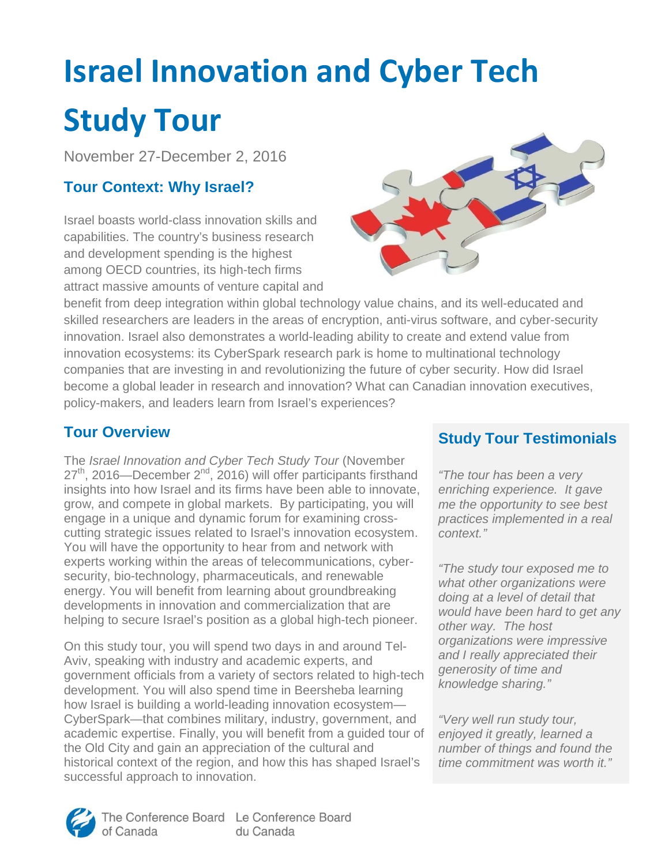# **Israel Innovation and Cyber Tech Study Tour**

November 27-December 2, 2016

## **Tour Context: Why Israel?**

Israel boasts world-class innovation skills and capabilities. The country's business research and development spending is the highest among OECD countries, its high-tech firms attract massive amounts of venture capital and



benefit from deep integration within global technology value chains, and its well-educated and skilled researchers are leaders in the areas of encryption, anti-virus software, and cyber-security innovation. Israel also demonstrates a world-leading ability to create and extend value from innovation ecosystems: its CyberSpark research park is home to multinational technology companies that are investing in and revolutionizing the future of cyber security. How did Israel become a global leader in research and innovation? What can Canadian innovation executives, policy-makers, and leaders learn from Israel's experiences?

#### **Tour Overview**

The Israel Innovation and Cyber Tech Study Tour (November 27<sup>th</sup>, 2016—December 2<sup>nd</sup>, 2016) will offer participants firsthand insights into how Israel and its firms have been able to innovate, grow, and compete in global markets. By participating, you will engage in a unique and dynamic forum for examining crosscutting strategic issues related to Israel's innovation ecosystem. You will have the opportunity to hear from and network with experts working within the areas of telecommunications, cybersecurity, bio-technology, pharmaceuticals, and renewable energy. You will benefit from learning about groundbreaking developments in innovation and commercialization that are helping to secure Israel's position as a global high-tech pioneer.

On this study tour, you will spend two days in and around Tel-Aviv, speaking with industry and academic experts, and government officials from a variety of sectors related to high-tech development. You will also spend time in Beersheba learning how Israel is building a world-leading innovation ecosystem— CyberSpark—that combines military, industry, government, and academic expertise. Finally, you will benefit from a guided tour of the Old City and gain an appreciation of the cultural and historical context of the region, and how this has shaped Israel's successful approach to innovation.

## **Study Tour Testimonials**

"The tour has been a very enriching experience. It gave me the opportunity to see best practices implemented in a real context."

"The study tour exposed me to what other organizations were doing at a level of detail that would have been hard to get any other way. The host organizations were impressive and I really appreciated their generosity of time and knowledge sharing."

"Very well run study tour, enjoyed it greatly, learned a number of things and found the time commitment was worth it."